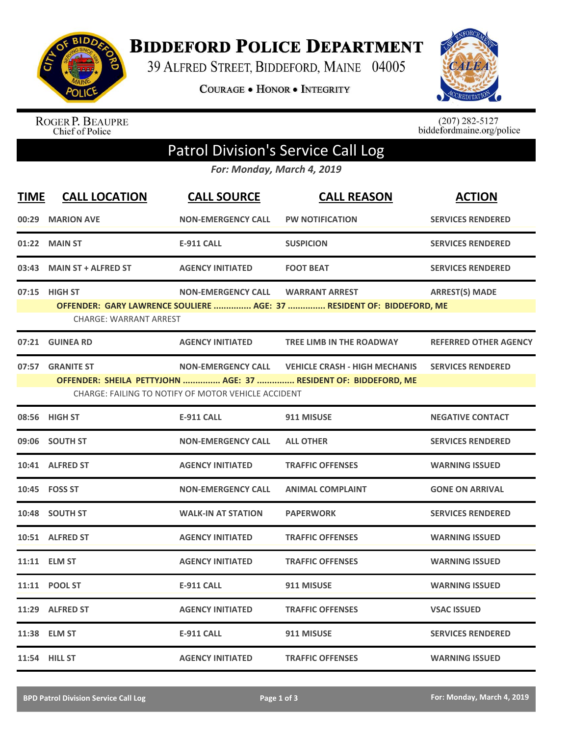

**BIDDEFORD POLICE DEPARTMENT** 

39 ALFRED STREET, BIDDEFORD, MAINE 04005

**COURAGE . HONOR . INTEGRITY** 



ROGER P. BEAUPRE<br>Chief of Police

 $(207)$  282-5127<br>biddefordmaine.org/police

## Patrol Division's Service Call Log

*For: Monday, March 4, 2019*

| <b>TIME</b> | <b>CALL LOCATION</b>                           | <b>CALL SOURCE</b>                                                               | <b>CALL REASON</b>                                                                                      | <b>ACTION</b>                |
|-------------|------------------------------------------------|----------------------------------------------------------------------------------|---------------------------------------------------------------------------------------------------------|------------------------------|
| 00:29       | <b>MARION AVE</b>                              | <b>NON-EMERGENCY CALL</b>                                                        | <b>PW NOTIFICATION</b>                                                                                  | <b>SERVICES RENDERED</b>     |
| 01:22       | <b>MAIN ST</b>                                 | <b>E-911 CALL</b>                                                                | <b>SUSPICION</b>                                                                                        | <b>SERVICES RENDERED</b>     |
| 03:43       | <b>MAIN ST + ALFRED ST</b>                     | <b>AGENCY INITIATED</b>                                                          | <b>FOOT BEAT</b>                                                                                        | <b>SERVICES RENDERED</b>     |
|             | 07:15 HIGH ST<br><b>CHARGE: WARRANT ARREST</b> | <b>NON-EMERGENCY CALL</b>                                                        | <b>WARRANT ARREST</b><br>OFFENDER: GARY LAWRENCE SOULIERE  AGE: 37  RESIDENT OF: BIDDEFORD, ME          | <b>ARREST(S) MADE</b>        |
|             | 07:21 GUINEA RD                                | <b>AGENCY INITIATED</b>                                                          | <b>TREE LIMB IN THE ROADWAY</b>                                                                         | <b>REFERRED OTHER AGENCY</b> |
| 07:57       | <b>GRANITE ST</b>                              | <b>NON-EMERGENCY CALL</b><br>CHARGE: FAILING TO NOTIFY OF MOTOR VEHICLE ACCIDENT | <b>VEHICLE CRASH - HIGH MECHANIS</b><br>OFFENDER: SHEILA PETTYJOHN  AGE: 37  RESIDENT OF: BIDDEFORD, ME | <b>SERVICES RENDERED</b>     |
|             | 08:56 HIGH ST                                  | <b>E-911 CALL</b>                                                                | 911 MISUSE                                                                                              | <b>NEGATIVE CONTACT</b>      |
|             | 09:06 SOUTH ST                                 | <b>NON-EMERGENCY CALL</b>                                                        | <b>ALL OTHER</b>                                                                                        | <b>SERVICES RENDERED</b>     |
|             | 10:41 ALFRED ST                                | <b>AGENCY INITIATED</b>                                                          | <b>TRAFFIC OFFENSES</b>                                                                                 | <b>WARNING ISSUED</b>        |
|             | 10:45 FOSS ST                                  | <b>NON-EMERGENCY CALL</b>                                                        | <b>ANIMAL COMPLAINT</b>                                                                                 | <b>GONE ON ARRIVAL</b>       |
|             | 10:48 SOUTH ST                                 | <b>WALK-IN AT STATION</b>                                                        | <b>PAPERWORK</b>                                                                                        | <b>SERVICES RENDERED</b>     |
|             | 10:51 ALFRED ST                                | <b>AGENCY INITIATED</b>                                                          | <b>TRAFFIC OFFENSES</b>                                                                                 | <b>WARNING ISSUED</b>        |
|             | 11:11 ELM ST                                   | <b>AGENCY INITIATED</b>                                                          | <b>TRAFFIC OFFENSES</b>                                                                                 | <b>WARNING ISSUED</b>        |
|             | 11:11 POOL ST                                  | <b>E-911 CALL</b>                                                                | 911 MISUSE                                                                                              | <b>WARNING ISSUED</b>        |
| 11:29       | <b>ALFRED ST</b>                               | <b>AGENCY INITIATED</b>                                                          | <b>TRAFFIC OFFENSES</b>                                                                                 | <b>VSAC ISSUED</b>           |
|             | 11:38 ELM ST                                   | <b>E-911 CALL</b>                                                                | 911 MISUSE                                                                                              | <b>SERVICES RENDERED</b>     |
|             | 11:54 HILL ST                                  | <b>AGENCY INITIATED</b>                                                          | <b>TRAFFIC OFFENSES</b>                                                                                 | <b>WARNING ISSUED</b>        |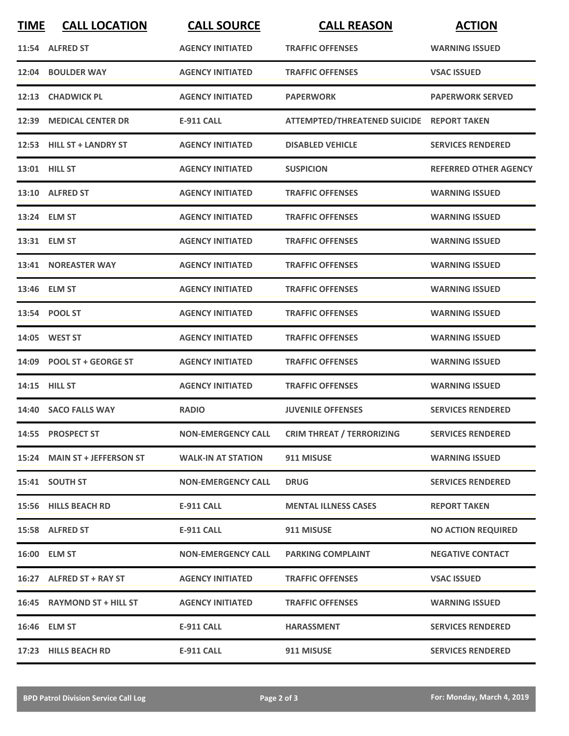| <b>TIME</b> | <b>CALL LOCATION</b>         | <b>CALL SOURCE</b>        | <b>CALL REASON</b>                           | <b>ACTION</b>                |
|-------------|------------------------------|---------------------------|----------------------------------------------|------------------------------|
|             | 11:54 ALFRED ST              | <b>AGENCY INITIATED</b>   | <b>TRAFFIC OFFENSES</b>                      | <b>WARNING ISSUED</b>        |
| 12:04       | <b>BOULDER WAY</b>           | <b>AGENCY INITIATED</b>   | <b>TRAFFIC OFFENSES</b>                      | <b>VSAC ISSUED</b>           |
|             | 12:13 CHADWICK PL            | <b>AGENCY INITIATED</b>   | <b>PAPERWORK</b>                             | <b>PAPERWORK SERVED</b>      |
|             | 12:39 MEDICAL CENTER DR      | <b>E-911 CALL</b>         | ATTEMPTED/THREATENED SUICIDE REPORT TAKEN    |                              |
|             | 12:53 HILL ST + LANDRY ST    | <b>AGENCY INITIATED</b>   | <b>DISABLED VEHICLE</b>                      | <b>SERVICES RENDERED</b>     |
|             | 13:01 HILL ST                | <b>AGENCY INITIATED</b>   | <b>SUSPICION</b>                             | <b>REFERRED OTHER AGENCY</b> |
|             | 13:10 ALFRED ST              | <b>AGENCY INITIATED</b>   | <b>TRAFFIC OFFENSES</b>                      | <b>WARNING ISSUED</b>        |
|             | 13:24 ELM ST                 | <b>AGENCY INITIATED</b>   | <b>TRAFFIC OFFENSES</b>                      | <b>WARNING ISSUED</b>        |
|             | 13:31 ELM ST                 | <b>AGENCY INITIATED</b>   | <b>TRAFFIC OFFENSES</b>                      | <b>WARNING ISSUED</b>        |
|             | 13:41 NOREASTER WAY          | <b>AGENCY INITIATED</b>   | <b>TRAFFIC OFFENSES</b>                      | <b>WARNING ISSUED</b>        |
|             | 13:46 ELM ST                 | <b>AGENCY INITIATED</b>   | <b>TRAFFIC OFFENSES</b>                      | <b>WARNING ISSUED</b>        |
|             | 13:54 POOL ST                | <b>AGENCY INITIATED</b>   | <b>TRAFFIC OFFENSES</b>                      | <b>WARNING ISSUED</b>        |
|             | 14:05 WEST ST                | <b>AGENCY INITIATED</b>   | <b>TRAFFIC OFFENSES</b>                      | <b>WARNING ISSUED</b>        |
|             | 14:09 POOL ST + GEORGE ST    | <b>AGENCY INITIATED</b>   | <b>TRAFFIC OFFENSES</b>                      | <b>WARNING ISSUED</b>        |
|             | 14:15 HILL ST                | <b>AGENCY INITIATED</b>   | <b>TRAFFIC OFFENSES</b>                      | <b>WARNING ISSUED</b>        |
|             | 14:40 SACO FALLS WAY         | <b>RADIO</b>              | <b>JUVENILE OFFENSES</b>                     | <b>SERVICES RENDERED</b>     |
|             | 14:55 PROSPECT ST            |                           | NON-EMERGENCY CALL CRIM THREAT / TERRORIZING | <b>SERVICES RENDERED</b>     |
|             | 15:24 MAIN ST + JEFFERSON ST | <b>WALK-IN AT STATION</b> | 911 MISUSE                                   | <b>WARNING ISSUED</b>        |
|             | 15:41 SOUTH ST               | <b>NON-EMERGENCY CALL</b> | <b>DRUG</b>                                  | <b>SERVICES RENDERED</b>     |
|             | 15:56 HILLS BEACH RD         | E-911 CALL                | <b>MENTAL ILLNESS CASES</b>                  | <b>REPORT TAKEN</b>          |
|             | 15:58 ALFRED ST              | E-911 CALL                | 911 MISUSE                                   | <b>NO ACTION REQUIRED</b>    |
|             | 16:00 ELM ST                 | <b>NON-EMERGENCY CALL</b> | <b>PARKING COMPLAINT</b>                     | <b>NEGATIVE CONTACT</b>      |
|             | 16:27 ALFRED ST + RAY ST     | <b>AGENCY INITIATED</b>   | <b>TRAFFIC OFFENSES</b>                      | <b>VSAC ISSUED</b>           |
|             | 16:45 RAYMOND ST + HILL ST   | <b>AGENCY INITIATED</b>   | <b>TRAFFIC OFFENSES</b>                      | <b>WARNING ISSUED</b>        |
|             | 16:46 ELM ST                 | E-911 CALL                | HARASSMENT                                   | <b>SERVICES RENDERED</b>     |
|             | 17:23 HILLS BEACH RD         | <b>E-911 CALL</b>         | 911 MISUSE                                   | <b>SERVICES RENDERED</b>     |